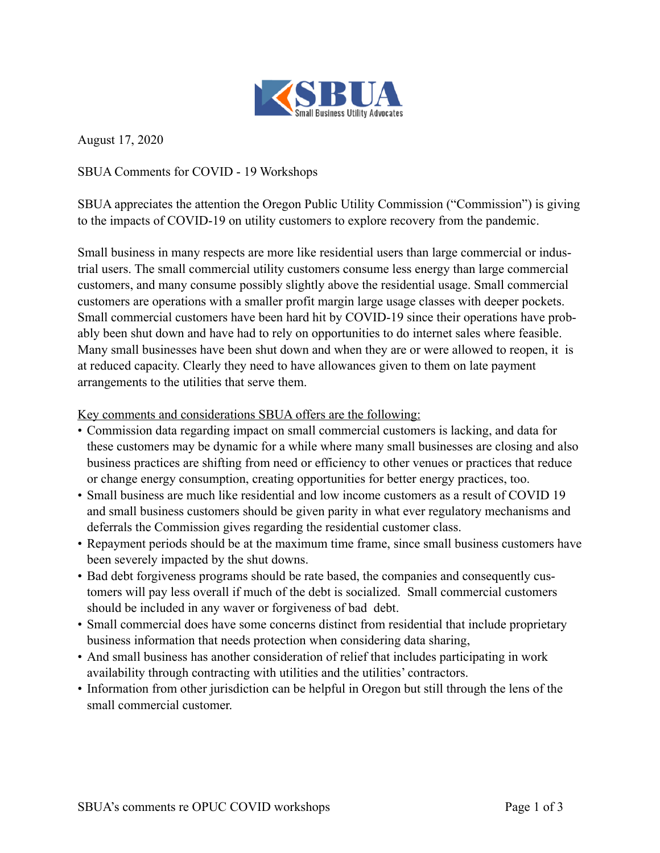

August 17, 2020

SBUA Comments for COVID - 19 Workshops

SBUA appreciates the attention the Oregon Public Utility Commission ("Commission") is giving to the impacts of COVID-19 on utility customers to explore recovery from the pandemic.

Small business in many respects are more like residential users than large commercial or industrial users. The small commercial utility customers consume less energy than large commercial customers, and many consume possibly slightly above the residential usage. Small commercial customers are operations with a smaller profit margin large usage classes with deeper pockets. Small commercial customers have been hard hit by COVID-19 since their operations have probably been shut down and have had to rely on opportunities to do internet sales where feasible. Many small businesses have been shut down and when they are or were allowed to reopen, it is at reduced capacity. Clearly they need to have allowances given to them on late payment arrangements to the utilities that serve them.

Key comments and considerations SBUA offers are the following:

- Commission data regarding impact on small commercial customers is lacking, and data for these customers may be dynamic for a while where many small businesses are closing and also business practices are shifting from need or efficiency to other venues or practices that reduce or change energy consumption, creating opportunities for better energy practices, too.
- Small business are much like residential and low income customers as a result of COVID 19 and small business customers should be given parity in what ever regulatory mechanisms and deferrals the Commission gives regarding the residential customer class.
- Repayment periods should be at the maximum time frame, since small business customers have been severely impacted by the shut downs.
- Bad debt forgiveness programs should be rate based, the companies and consequently customers will pay less overall if much of the debt is socialized. Small commercial customers should be included in any waver or forgiveness of bad debt.
- Small commercial does have some concerns distinct from residential that include proprietary business information that needs protection when considering data sharing,
- And small business has another consideration of relief that includes participating in work availability through contracting with utilities and the utilities' contractors.
- Information from other jurisdiction can be helpful in Oregon but still through the lens of the small commercial customer.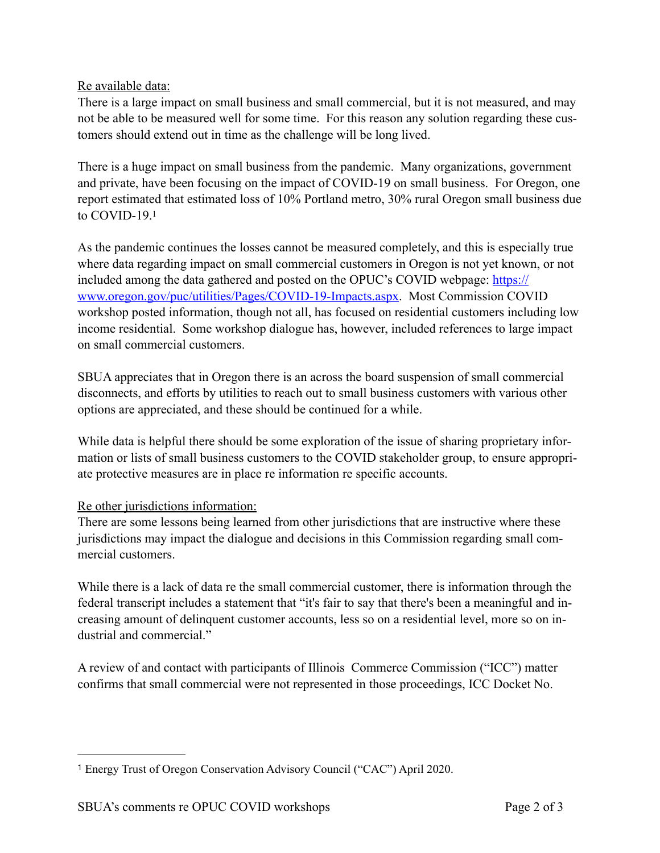## Re available data:

There is a large impact on small business and small commercial, but it is not measured, and may not be able to be measured well for some time. For this reason any solution regarding these customers should extend out in time as the challenge will be long lived.

There is a huge impact on small business from the pandemic. Many organizations, government and private, have been focusing on the impact of COVID-19 on small business. For Oregon, one report estimated that estimated loss of 10% Portland metro, 30% rural Oregon small business due to COVID-19[.1](#page-1-0)

<span id="page-1-1"></span>As the pandemic continues the losses cannot be measured completely, and this is especially true where data regarding impact on small commercial customers in Oregon is not yet known, or not included among the data gathered and posted on the OPUC's COVID webpage: [https://](https://www.oregon.gov/puc/utilities/Pages/COVID-19-Impacts.aspx) [www.oregon.gov/puc/utilities/Pages/COVID-19-Impacts.aspx](https://www.oregon.gov/puc/utilities/Pages/COVID-19-Impacts.aspx). Most Commission COVID workshop posted information, though not all, has focused on residential customers including low income residential. Some workshop dialogue has, however, included references to large impact on small commercial customers.

SBUA appreciates that in Oregon there is an across the board suspension of small commercial disconnects, and efforts by utilities to reach out to small business customers with various other options are appreciated, and these should be continued for a while.

While data is helpful there should be some exploration of the issue of sharing proprietary information or lists of small business customers to the COVID stakeholder group, to ensure appropriate protective measures are in place re information re specific accounts.

## Re other jurisdictions information:

There are some lessons being learned from other jurisdictions that are instructive where these jurisdictions may impact the dialogue and decisions in this Commission regarding small commercial customers.

While there is a lack of data re the small commercial customer, there is information through the federal transcript includes a statement that "it's fair to say that there's been a meaningful and increasing amount of delinquent customer accounts, less so on a residential level, more so on industrial and commercial."

A review of and contact with participants of Illinois Commerce Commission ("ICC") matter confirms that small commercial were not represented in those proceedings, ICC Docket No.

<span id="page-1-0"></span><sup>&</sup>lt;sup>[1](#page-1-1)</sup> Energy Trust of Oregon Conservation Advisory Council ("CAC") April 2020.